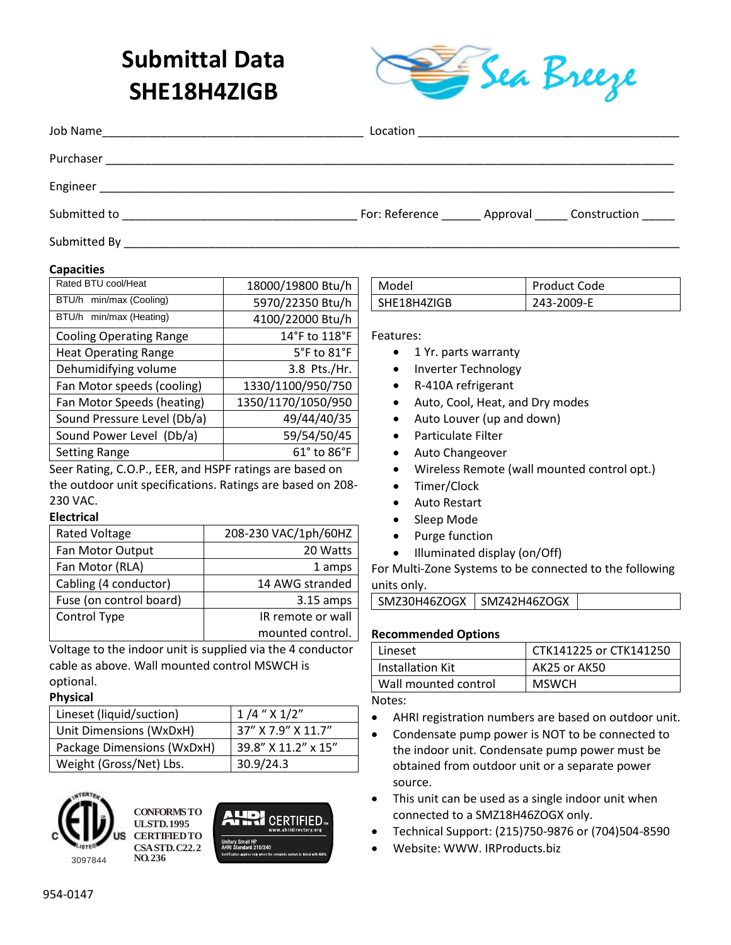# **Submittal Data SHE18H4ZIGB**



| Job Name<br><u> 1980 - Johann Stein, mars an de Francisco (f. 1980)</u> |                                                     |
|-------------------------------------------------------------------------|-----------------------------------------------------|
| Purchaser                                                               |                                                     |
| Engineer                                                                |                                                     |
| Submitted to                                                            | For: Reference _______ Approval ______ Construction |
| Submitted By                                                            |                                                     |

#### **Capacities**

| Rated BTU cool/Heat            | 18000/19800 Btu/h               |  |
|--------------------------------|---------------------------------|--|
| BTU/h min/max (Cooling)        | 5970/22350 Btu/h                |  |
| BTU/h min/max (Heating)        | 4100/22000 Btu/h                |  |
| <b>Cooling Operating Range</b> | 14°F to 118°F                   |  |
| <b>Heat Operating Range</b>    | $5^{\circ}$ F to $81^{\circ}$ F |  |
| Dehumidifying volume           | 3.8 Pts./Hr.                    |  |
| Fan Motor speeds (cooling)     | 1330/1100/950/750               |  |
| Fan Motor Speeds (heating)     | 1350/1170/1050/950              |  |
| Sound Pressure Level (Db/a)    | 49/44/40/35                     |  |
| Sound Power Level (Db/a)       | 59/54/50/45                     |  |
| <b>Setting Range</b>           | 61° to 86°F                     |  |
| .                              |                                 |  |

Seer Rating, C.O.P., EER, and HSPF ratings are based on the outdoor unit specifications. Ratings are based on 208- 230 VAC.

#### **Electrical**

| <b>Rated Voltage</b>    | 208-230 VAC/1ph/60HZ |
|-------------------------|----------------------|
| Fan Motor Output        | 20 Watts             |
| Fan Motor (RLA)         | 1 amps               |
| Cabling (4 conductor)   | 14 AWG stranded      |
| Fuse (on control board) | $3.15$ amps          |
| Control Type            | IR remote or wall    |
|                         | mounted control.     |

Voltage to the indoor unit is supplied via the 4 conductor cable as above. Wall mounted control MSWCH is optional.

#### **Physical**

| Lineset (liquid/suction)   | $1/4$ " $\times$ $1/2$ " |
|----------------------------|--------------------------|
| Unit Dimensions (WxDxH)    | 37" X 7.9" X 11.7"       |
| Package Dimensions (WxDxH) | 39.8" X 11.2" x 15"      |
| Weight (Gross/Net) Lbs.    | 30.9/24.3                |



**CONFORMS TO UL STD. 1995 CERTIFIED TO CSA STD. C22.2 NO. 236**



| Model       | Product Code |
|-------------|--------------|
| SHE18H4ZIGB | 243-2009-E   |

Features:

- 1 Yr. parts warranty
- Inverter Technology
- R-410A refrigerant
- Auto, Cool, Heat, and Dry modes
- Auto Louver (up and down)
- Particulate Filter
- Auto Changeover
- Wireless Remote (wall mounted control opt.)
- Timer/Clock
- Auto Restart
- Sleep Mode
- Purge function
- Illuminated display (on/Off)

For Multi-Zone Systems to be connected to the following units only.

#### **Recommended Options**

| Lineset              | CTK141225 or CTK141250 |
|----------------------|------------------------|
| Installation Kit     | AK25 or AK50           |
| Wall mounted control | <b>MSWCH</b>           |

Notes:

- AHRI registration numbers are based on outdoor unit.
- Condensate pump power is NOT to be connected to the indoor unit. Condensate pump power must be obtained from outdoor unit or a separate power source.
- This unit can be used as a single indoor unit when connected to a SMZ18H46ZOGX only.
- Technical Support: (215)750-9876 or (704)504-8590
- Website: WWW. IRProducts.biz